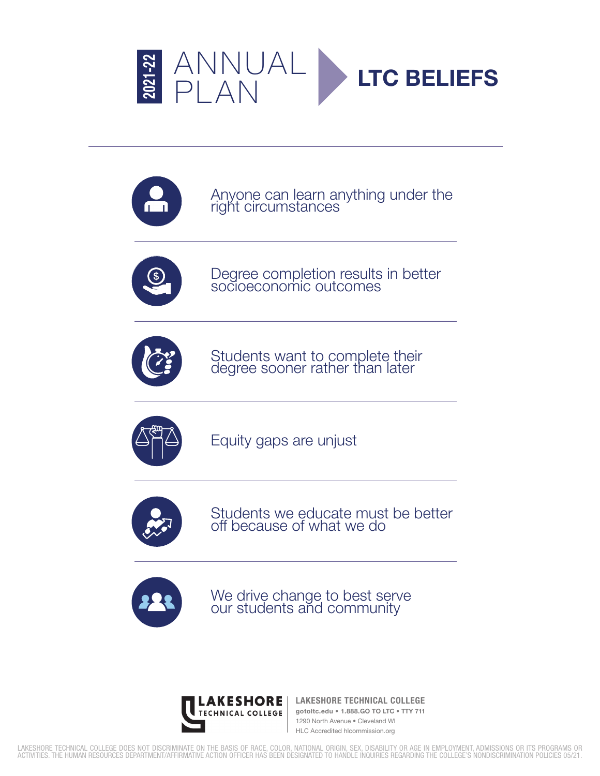



Anyone can learn anything under the right circumstances



Degree completion results in better socioeconomic outcomes



Students want to complete their degree sooner rather than later



Equity gaps are unjust



Students we educate must be better off because of what we do



We drive change to best serve our students and community



**LAKESHORE TECHNICAL COLLEGE gotoltc.edu • 1.888.GO TO LTC • TTY 711** 1290 North Avenue • Cleveland WI HLC Accredited hlcommission.org

LAKESHORE TECHNICAL COLLEGE DOES NOT DISCRIMINATE ON THE BASIS OF RACE, COLOR, NATIONAL ORIGIN, SEX, DISABILITY OR AGE IN EMPLOYMENT, ADMISSIONS OR ITS PROGRAMS OR<br>ACTIVITIES. THE HUMAN RESOURCES DEPARTMENT/AFFIRMATIVE ACT